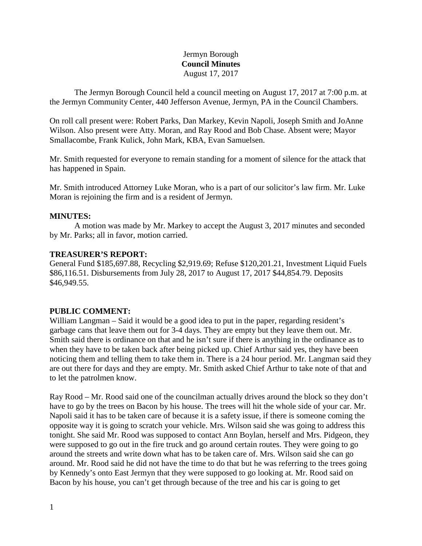#### Jermyn Borough **Council Minutes** August 17, 2017

The Jermyn Borough Council held a council meeting on August 17, 2017 at 7:00 p.m. at the Jermyn Community Center, 440 Jefferson Avenue, Jermyn, PA in the Council Chambers.

On roll call present were: Robert Parks, Dan Markey, Kevin Napoli, Joseph Smith and JoAnne Wilson. Also present were Atty. Moran, and Ray Rood and Bob Chase. Absent were; Mayor Smallacombe, Frank Kulick, John Mark, KBA, Evan Samuelsen.

Mr. Smith requested for everyone to remain standing for a moment of silence for the attack that has happened in Spain.

Mr. Smith introduced Attorney Luke Moran, who is a part of our solicitor's law firm. Mr. Luke Moran is rejoining the firm and is a resident of Jermyn.

#### **MINUTES:**

A motion was made by Mr. Markey to accept the August 3, 2017 minutes and seconded by Mr. Parks; all in favor, motion carried.

#### **TREASURER'S REPORT:**

General Fund \$185,697.88, Recycling \$2,919.69; Refuse \$120,201.21, Investment Liquid Fuels \$86,116.51. Disbursements from July 28, 2017 to August 17, 2017 \$44,854.79. Deposits \$46,949.55.

# **PUBLIC COMMENT:**

William Langman – Said it would be a good idea to put in the paper, regarding resident's garbage cans that leave them out for 3-4 days. They are empty but they leave them out. Mr. Smith said there is ordinance on that and he isn't sure if there is anything in the ordinance as to when they have to be taken back after being picked up. Chief Arthur said yes, they have been noticing them and telling them to take them in. There is a 24 hour period. Mr. Langman said they are out there for days and they are empty. Mr. Smith asked Chief Arthur to take note of that and to let the patrolmen know.

Ray Rood – Mr. Rood said one of the councilman actually drives around the block so they don't have to go by the trees on Bacon by his house. The trees will hit the whole side of your car. Mr. Napoli said it has to be taken care of because it is a safety issue, if there is someone coming the opposite way it is going to scratch your vehicle. Mrs. Wilson said she was going to address this tonight. She said Mr. Rood was supposed to contact Ann Boylan, herself and Mrs. Pidgeon, they were supposed to go out in the fire truck and go around certain routes. They were going to go around the streets and write down what has to be taken care of. Mrs. Wilson said she can go around. Mr. Rood said he did not have the time to do that but he was referring to the trees going by Kennedy's onto East Jermyn that they were supposed to go looking at. Mr. Rood said on Bacon by his house, you can't get through because of the tree and his car is going to get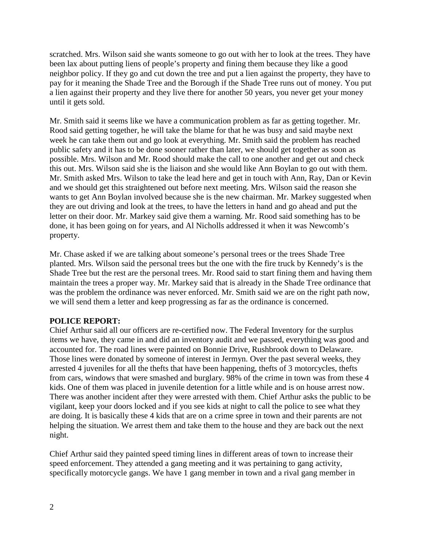scratched. Mrs. Wilson said she wants someone to go out with her to look at the trees. They have been lax about putting liens of people's property and fining them because they like a good neighbor policy. If they go and cut down the tree and put a lien against the property, they have to pay for it meaning the Shade Tree and the Borough if the Shade Tree runs out of money. You put a lien against their property and they live there for another 50 years, you never get your money until it gets sold.

Mr. Smith said it seems like we have a communication problem as far as getting together. Mr. Rood said getting together, he will take the blame for that he was busy and said maybe next week he can take them out and go look at everything. Mr. Smith said the problem has reached public safety and it has to be done sooner rather than later, we should get together as soon as possible. Mrs. Wilson and Mr. Rood should make the call to one another and get out and check this out. Mrs. Wilson said she is the liaison and she would like Ann Boylan to go out with them. Mr. Smith asked Mrs. Wilson to take the lead here and get in touch with Ann, Ray, Dan or Kevin and we should get this straightened out before next meeting. Mrs. Wilson said the reason she wants to get Ann Boylan involved because she is the new chairman. Mr. Markey suggested when they are out driving and look at the trees, to have the letters in hand and go ahead and put the letter on their door. Mr. Markey said give them a warning. Mr. Rood said something has to be done, it has been going on for years, and Al Nicholls addressed it when it was Newcomb's property.

Mr. Chase asked if we are talking about someone's personal trees or the trees Shade Tree planted. Mrs. Wilson said the personal trees but the one with the fire truck by Kennedy's is the Shade Tree but the rest are the personal trees. Mr. Rood said to start fining them and having them maintain the trees a proper way. Mr. Markey said that is already in the Shade Tree ordinance that was the problem the ordinance was never enforced. Mr. Smith said we are on the right path now, we will send them a letter and keep progressing as far as the ordinance is concerned.

# **POLICE REPORT:**

Chief Arthur said all our officers are re-certified now. The Federal Inventory for the surplus items we have, they came in and did an inventory audit and we passed, everything was good and accounted for. The road lines were painted on Bonnie Drive, Rushbrook down to Delaware. Those lines were donated by someone of interest in Jermyn. Over the past several weeks, they arrested 4 juveniles for all the thefts that have been happening, thefts of 3 motorcycles, thefts from cars, windows that were smashed and burglary. 98% of the crime in town was from these 4 kids. One of them was placed in juvenile detention for a little while and is on house arrest now. There was another incident after they were arrested with them. Chief Arthur asks the public to be vigilant, keep your doors locked and if you see kids at night to call the police to see what they are doing. It is basically these 4 kids that are on a crime spree in town and their parents are not helping the situation. We arrest them and take them to the house and they are back out the next night.

Chief Arthur said they painted speed timing lines in different areas of town to increase their speed enforcement. They attended a gang meeting and it was pertaining to gang activity, specifically motorcycle gangs. We have 1 gang member in town and a rival gang member in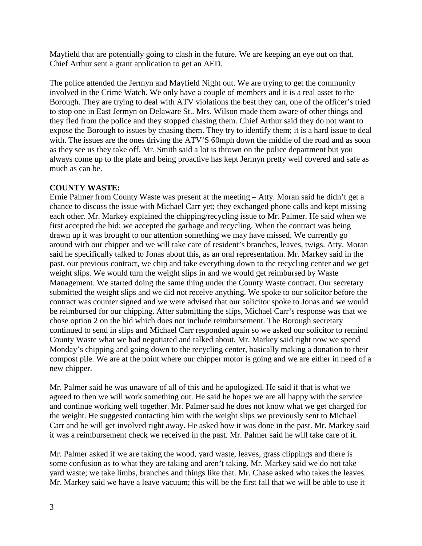Mayfield that are potentially going to clash in the future. We are keeping an eye out on that. Chief Arthur sent a grant application to get an AED.

The police attended the Jermyn and Mayfield Night out. We are trying to get the community involved in the Crime Watch. We only have a couple of members and it is a real asset to the Borough. They are trying to deal with ATV violations the best they can, one of the officer's tried to stop one in East Jermyn on Delaware St.. Mrs. Wilson made them aware of other things and they fled from the police and they stopped chasing them. Chief Arthur said they do not want to expose the Borough to issues by chasing them. They try to identify them; it is a hard issue to deal with. The issues are the ones driving the ATV'S 60mph down the middle of the road and as soon as they see us they take off. Mr. Smith said a lot is thrown on the police department but you always come up to the plate and being proactive has kept Jermyn pretty well covered and safe as much as can be.

# **COUNTY WASTE:**

Ernie Palmer from County Waste was present at the meeting – Atty. Moran said he didn't get a chance to discuss the issue with Michael Carr yet; they exchanged phone calls and kept missing each other. Mr. Markey explained the chipping/recycling issue to Mr. Palmer. He said when we first accepted the bid; we accepted the garbage and recycling. When the contract was being drawn up it was brought to our attention something we may have missed. We currently go around with our chipper and we will take care of resident's branches, leaves, twigs. Atty. Moran said he specifically talked to Jonas about this, as an oral representation. Mr. Markey said in the past, our previous contract, we chip and take everything down to the recycling center and we get weight slips. We would turn the weight slips in and we would get reimbursed by Waste Management. We started doing the same thing under the County Waste contract. Our secretary submitted the weight slips and we did not receive anything. We spoke to our solicitor before the contract was counter signed and we were advised that our solicitor spoke to Jonas and we would be reimbursed for our chipping. After submitting the slips, Michael Carr's response was that we chose option 2 on the bid which does not include reimbursement. The Borough secretary continued to send in slips and Michael Carr responded again so we asked our solicitor to remind County Waste what we had negotiated and talked about. Mr. Markey said right now we spend Monday's chipping and going down to the recycling center, basically making a donation to their compost pile. We are at the point where our chipper motor is going and we are either in need of a new chipper.

Mr. Palmer said he was unaware of all of this and he apologized. He said if that is what we agreed to then we will work something out. He said he hopes we are all happy with the service and continue working well together. Mr. Palmer said he does not know what we get charged for the weight. He suggested contacting him with the weight slips we previously sent to Michael Carr and he will get involved right away. He asked how it was done in the past. Mr. Markey said it was a reimbursement check we received in the past. Mr. Palmer said he will take care of it.

Mr. Palmer asked if we are taking the wood, yard waste, leaves, grass clippings and there is some confusion as to what they are taking and aren't taking. Mr. Markey said we do not take yard waste; we take limbs, branches and things like that. Mr. Chase asked who takes the leaves. Mr. Markey said we have a leave vacuum; this will be the first fall that we will be able to use it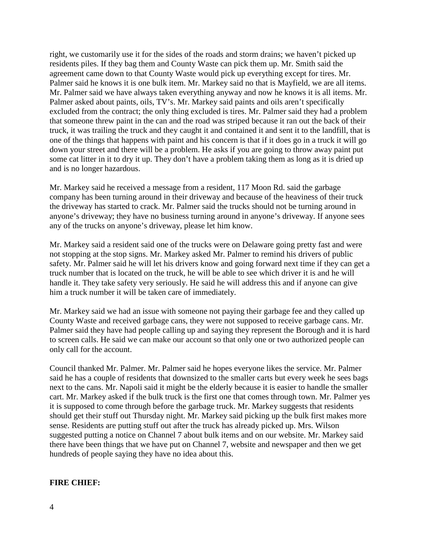right, we customarily use it for the sides of the roads and storm drains; we haven't picked up residents piles. If they bag them and County Waste can pick them up. Mr. Smith said the agreement came down to that County Waste would pick up everything except for tires. Mr. Palmer said he knows it is one bulk item. Mr. Markey said no that is Mayfield, we are all items. Mr. Palmer said we have always taken everything anyway and now he knows it is all items. Mr. Palmer asked about paints, oils, TV's. Mr. Markey said paints and oils aren't specifically excluded from the contract; the only thing excluded is tires. Mr. Palmer said they had a problem that someone threw paint in the can and the road was striped because it ran out the back of their truck, it was trailing the truck and they caught it and contained it and sent it to the landfill, that is one of the things that happens with paint and his concern is that if it does go in a truck it will go down your street and there will be a problem. He asks if you are going to throw away paint put some cat litter in it to dry it up. They don't have a problem taking them as long as it is dried up and is no longer hazardous.

Mr. Markey said he received a message from a resident, 117 Moon Rd. said the garbage company has been turning around in their driveway and because of the heaviness of their truck the driveway has started to crack. Mr. Palmer said the trucks should not be turning around in anyone's driveway; they have no business turning around in anyone's driveway. If anyone sees any of the trucks on anyone's driveway, please let him know.

Mr. Markey said a resident said one of the trucks were on Delaware going pretty fast and were not stopping at the stop signs. Mr. Markey asked Mr. Palmer to remind his drivers of public safety. Mr. Palmer said he will let his drivers know and going forward next time if they can get a truck number that is located on the truck, he will be able to see which driver it is and he will handle it. They take safety very seriously. He said he will address this and if anyone can give him a truck number it will be taken care of immediately.

Mr. Markey said we had an issue with someone not paying their garbage fee and they called up County Waste and received garbage cans, they were not supposed to receive garbage cans. Mr. Palmer said they have had people calling up and saying they represent the Borough and it is hard to screen calls. He said we can make our account so that only one or two authorized people can only call for the account.

Council thanked Mr. Palmer. Mr. Palmer said he hopes everyone likes the service. Mr. Palmer said he has a couple of residents that downsized to the smaller carts but every week he sees bags next to the cans. Mr. Napoli said it might be the elderly because it is easier to handle the smaller cart. Mr. Markey asked if the bulk truck is the first one that comes through town. Mr. Palmer yes it is supposed to come through before the garbage truck. Mr. Markey suggests that residents should get their stuff out Thursday night. Mr. Markey said picking up the bulk first makes more sense. Residents are putting stuff out after the truck has already picked up. Mrs. Wilson suggested putting a notice on Channel 7 about bulk items and on our website. Mr. Markey said there have been things that we have put on Channel 7, website and newspaper and then we get hundreds of people saying they have no idea about this.

#### **FIRE CHIEF:**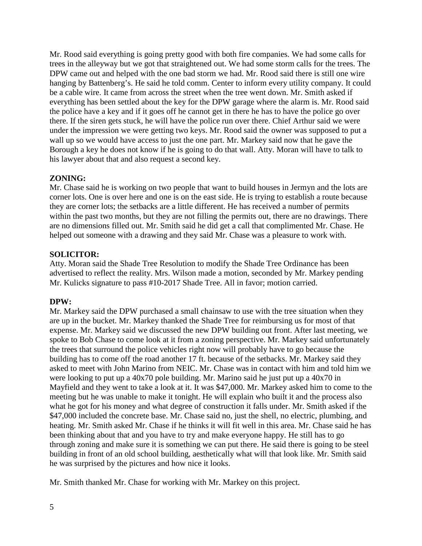Mr. Rood said everything is going pretty good with both fire companies. We had some calls for trees in the alleyway but we got that straightened out. We had some storm calls for the trees. The DPW came out and helped with the one bad storm we had. Mr. Rood said there is still one wire hanging by Battenberg's. He said he told comm. Center to inform every utility company. It could be a cable wire. It came from across the street when the tree went down. Mr. Smith asked if everything has been settled about the key for the DPW garage where the alarm is. Mr. Rood said the police have a key and if it goes off he cannot get in there he has to have the police go over there. If the siren gets stuck, he will have the police run over there. Chief Arthur said we were under the impression we were getting two keys. Mr. Rood said the owner was supposed to put a wall up so we would have access to just the one part. Mr. Markey said now that he gave the Borough a key he does not know if he is going to do that wall. Atty. Moran will have to talk to his lawyer about that and also request a second key.

# **ZONING:**

Mr. Chase said he is working on two people that want to build houses in Jermyn and the lots are corner lots. One is over here and one is on the east side. He is trying to establish a route because they are corner lots; the setbacks are a little different. He has received a number of permits within the past two months, but they are not filling the permits out, there are no drawings. There are no dimensions filled out. Mr. Smith said he did get a call that complimented Mr. Chase. He helped out someone with a drawing and they said Mr. Chase was a pleasure to work with.

# **SOLICITOR:**

Atty. Moran said the Shade Tree Resolution to modify the Shade Tree Ordinance has been advertised to reflect the reality. Mrs. Wilson made a motion, seconded by Mr. Markey pending Mr. Kulicks signature to pass #10-2017 Shade Tree. All in favor; motion carried.

# **DPW:**

Mr. Markey said the DPW purchased a small chainsaw to use with the tree situation when they are up in the bucket. Mr. Markey thanked the Shade Tree for reimbursing us for most of that expense. Mr. Markey said we discussed the new DPW building out front. After last meeting, we spoke to Bob Chase to come look at it from a zoning perspective. Mr. Markey said unfortunately the trees that surround the police vehicles right now will probably have to go because the building has to come off the road another 17 ft. because of the setbacks. Mr. Markey said they asked to meet with John Marino from NEIC. Mr. Chase was in contact with him and told him we were looking to put up a 40x70 pole building. Mr. Marino said he just put up a 40x70 in Mayfield and they went to take a look at it. It was \$47,000. Mr. Markey asked him to come to the meeting but he was unable to make it tonight. He will explain who built it and the process also what he got for his money and what degree of construction it falls under. Mr. Smith asked if the \$47,000 included the concrete base. Mr. Chase said no, just the shell, no electric, plumbing, and heating. Mr. Smith asked Mr. Chase if he thinks it will fit well in this area. Mr. Chase said he has been thinking about that and you have to try and make everyone happy. He still has to go through zoning and make sure it is something we can put there. He said there is going to be steel building in front of an old school building, aesthetically what will that look like. Mr. Smith said he was surprised by the pictures and how nice it looks.

Mr. Smith thanked Mr. Chase for working with Mr. Markey on this project.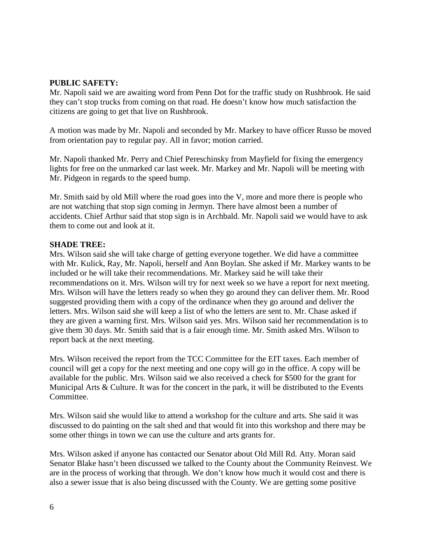#### **PUBLIC SAFETY:**

Mr. Napoli said we are awaiting word from Penn Dot for the traffic study on Rushbrook. He said they can't stop trucks from coming on that road. He doesn't know how much satisfaction the citizens are going to get that live on Rushbrook.

A motion was made by Mr. Napoli and seconded by Mr. Markey to have officer Russo be moved from orientation pay to regular pay. All in favor; motion carried.

Mr. Napoli thanked Mr. Perry and Chief Pereschinsky from Mayfield for fixing the emergency lights for free on the unmarked car last week. Mr. Markey and Mr. Napoli will be meeting with Mr. Pidgeon in regards to the speed bump.

Mr. Smith said by old Mill where the road goes into the V, more and more there is people who are not watching that stop sign coming in Jermyn. There have almost been a number of accidents. Chief Arthur said that stop sign is in Archbald. Mr. Napoli said we would have to ask them to come out and look at it.

#### **SHADE TREE:**

Mrs. Wilson said she will take charge of getting everyone together. We did have a committee with Mr. Kulick, Ray, Mr. Napoli, herself and Ann Boylan. She asked if Mr. Markey wants to be included or he will take their recommendations. Mr. Markey said he will take their recommendations on it. Mrs. Wilson will try for next week so we have a report for next meeting. Mrs. Wilson will have the letters ready so when they go around they can deliver them. Mr. Rood suggested providing them with a copy of the ordinance when they go around and deliver the letters. Mrs. Wilson said she will keep a list of who the letters are sent to. Mr. Chase asked if they are given a warning first. Mrs. Wilson said yes. Mrs. Wilson said her recommendation is to give them 30 days. Mr. Smith said that is a fair enough time. Mr. Smith asked Mrs. Wilson to report back at the next meeting.

Mrs. Wilson received the report from the TCC Committee for the EIT taxes. Each member of council will get a copy for the next meeting and one copy will go in the office. A copy will be available for the public. Mrs. Wilson said we also received a check for \$500 for the grant for Municipal Arts & Culture. It was for the concert in the park, it will be distributed to the Events Committee.

Mrs. Wilson said she would like to attend a workshop for the culture and arts. She said it was discussed to do painting on the salt shed and that would fit into this workshop and there may be some other things in town we can use the culture and arts grants for.

Mrs. Wilson asked if anyone has contacted our Senator about Old Mill Rd. Atty. Moran said Senator Blake hasn't been discussed we talked to the County about the Community Reinvest. We are in the process of working that through. We don't know how much it would cost and there is also a sewer issue that is also being discussed with the County. We are getting some positive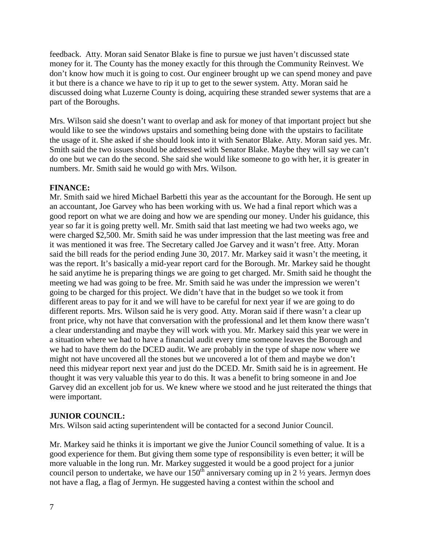feedback. Atty. Moran said Senator Blake is fine to pursue we just haven't discussed state money for it. The County has the money exactly for this through the Community Reinvest. We don't know how much it is going to cost. Our engineer brought up we can spend money and pave it but there is a chance we have to rip it up to get to the sewer system. Atty. Moran said he discussed doing what Luzerne County is doing, acquiring these stranded sewer systems that are a part of the Boroughs.

Mrs. Wilson said she doesn't want to overlap and ask for money of that important project but she would like to see the windows upstairs and something being done with the upstairs to facilitate the usage of it. She asked if she should look into it with Senator Blake. Atty. Moran said yes. Mr. Smith said the two issues should be addressed with Senator Blake. Maybe they will say we can't do one but we can do the second. She said she would like someone to go with her, it is greater in numbers. Mr. Smith said he would go with Mrs. Wilson.

# **FINANCE:**

Mr. Smith said we hired Michael Barbetti this year as the accountant for the Borough. He sent up an accountant, Joe Garvey who has been working with us. We had a final report which was a good report on what we are doing and how we are spending our money. Under his guidance, this year so far it is going pretty well. Mr. Smith said that last meeting we had two weeks ago, we were charged \$2,500. Mr. Smith said he was under impression that the last meeting was free and it was mentioned it was free. The Secretary called Joe Garvey and it wasn't free. Atty. Moran said the bill reads for the period ending June 30, 2017. Mr. Markey said it wasn't the meeting, it was the report. It's basically a mid-year report card for the Borough. Mr. Markey said he thought he said anytime he is preparing things we are going to get charged. Mr. Smith said he thought the meeting we had was going to be free. Mr. Smith said he was under the impression we weren't going to be charged for this project. We didn't have that in the budget so we took it from different areas to pay for it and we will have to be careful for next year if we are going to do different reports. Mrs. Wilson said he is very good. Atty. Moran said if there wasn't a clear up front price, why not have that conversation with the professional and let them know there wasn't a clear understanding and maybe they will work with you. Mr. Markey said this year we were in a situation where we had to have a financial audit every time someone leaves the Borough and we had to have them do the DCED audit. We are probably in the type of shape now where we might not have uncovered all the stones but we uncovered a lot of them and maybe we don't need this midyear report next year and just do the DCED. Mr. Smith said he is in agreement. He thought it was very valuable this year to do this. It was a benefit to bring someone in and Joe Garvey did an excellent job for us. We knew where we stood and he just reiterated the things that were important.

# **JUNIOR COUNCIL:**

Mrs. Wilson said acting superintendent will be contacted for a second Junior Council.

Mr. Markey said he thinks it is important we give the Junior Council something of value. It is a good experience for them. But giving them some type of responsibility is even better; it will be more valuable in the long run. Mr. Markey suggested it would be a good project for a junior council person to undertake, we have our  $150<sup>th</sup>$  anniversary coming up in 2  $\frac{1}{2}$  years. Jermyn does not have a flag, a flag of Jermyn. He suggested having a contest within the school and